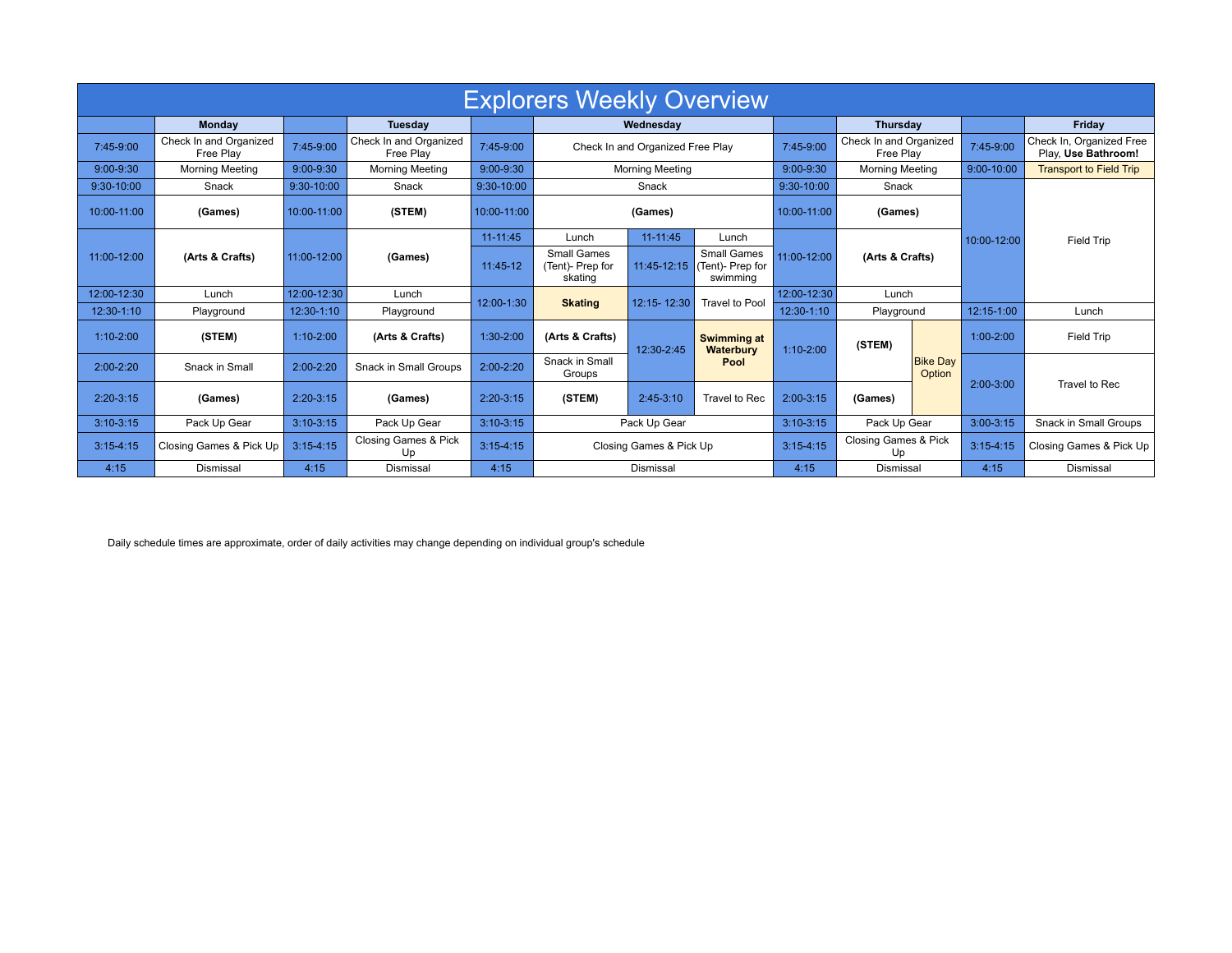| <b>Explorers Weekly Overview</b> |                                     |               |                                     |               |                                            |                        |                                                                |                                |                                     |                           |                                |                                                 |
|----------------------------------|-------------------------------------|---------------|-------------------------------------|---------------|--------------------------------------------|------------------------|----------------------------------------------------------------|--------------------------------|-------------------------------------|---------------------------|--------------------------------|-------------------------------------------------|
|                                  | <b>Monday</b>                       |               | <b>Tuesday</b>                      |               | Wednesdav                                  |                        |                                                                | Thursday                       |                                     |                           | Fridav                         |                                                 |
| 7:45-9:00                        | Check In and Organized<br>Free Play | 7:45-9:00     | Check In and Organized<br>Free Play | 7:45-9:00     | Check In and Organized Free Play           |                        |                                                                | 7:45-9:00                      | Check In and Organized<br>Free Play |                           | 7:45-9:00                      | Check In, Organized Free<br>Play, Use Bathroom! |
| 9:00-9:30                        | <b>Morning Meeting</b>              | $9:00 - 9:30$ | <b>Morning Meeting</b>              | $9:00 - 9:30$ |                                            | <b>Morning Meeting</b> | 9:00-9:30                                                      | <b>Morning Meeting</b>         |                                     | 9:00-10:00                | <b>Transport to Field Trip</b> |                                                 |
| $9:30-10:00$                     | Snack                               | 9:30-10:00    | Snack                               | 9:30-10:00    |                                            | Snack                  | 9:30-10:00                                                     | Snack                          |                                     |                           |                                |                                                 |
| 10:00-11:00                      | (Games)                             | 10:00-11:00   | (STEM)                              | 10:00-11:00   | (Games)                                    |                        |                                                                | 10:00-11:00                    | (Games)                             |                           |                                |                                                 |
|                                  | (Arts & Crafts)                     | 11:00-12:00   | (Games)                             | $11 - 11:45$  | Lunch                                      | $11 - 11:45$           | Lunch                                                          |                                |                                     |                           | 10:00-12:00                    | <b>Field Trip</b>                               |
| 11:00-12:00                      |                                     |               |                                     | 11:45-12      | Small Games<br>(Tent)- Prep for<br>skating |                        | <b>Small Games</b><br>11:45-12:15 (Tent)- Prep for<br>swimming | 11:00-12:00<br>(Arts & Crafts) |                                     |                           |                                |                                                 |
| 12:00-12:30                      | Lunch                               | 12:00-12:30   | Lunch                               | 12:00-1:30    |                                            | 12:15-12:30            | <b>Travel to Pool</b>                                          | 12:00-12:30                    | Lunch                               |                           |                                |                                                 |
| 12:30-1:10                       | Playground                          | 12:30-1:10    | Playground                          |               | <b>Skating</b>                             |                        |                                                                | 12:30-1:10                     | Playground                          |                           | 12:15-1:00                     | Lunch                                           |
| $1:10-2:00$                      | (STEM)                              | $1:10-2:00$   | (Arts & Crafts)                     | $1:30-2:00$   | (Arts & Crafts)                            | 12:30-2:45             | <b>Swimming at</b><br>Waterbury                                |                                | (STEM)                              |                           | $1:00 - 2:00$                  | <b>Field Trip</b>                               |
| $2:00-2:20$                      | Snack in Small                      | $2:00 - 2:20$ | Snack in Small Groups               | $2:00-2:20$   | Snack in Small<br>Groups                   |                        | Pool                                                           | $1:10 - 2:00$                  |                                     | <b>Bike Day</b><br>Option | $2:00-3:00$                    | Travel to Rec                                   |
| $2:20-3:15$                      | (Games)                             | $2:20-3:15$   | (Games)                             | $2:20-3:15$   | (STEM)                                     | $2:45-3:10$            | Travel to Rec                                                  | 2:00-3:15                      | (Games)                             |                           |                                |                                                 |
| $3:10-3:15$                      | Pack Up Gear                        | $3:10-3:15$   | Pack Up Gear                        | $3:10-3:15$   | Pack Up Gear                               |                        |                                                                | $3:10-3:15$                    | Pack Up Gear                        |                           | $3:00-3:15$                    | Snack in Small Groups                           |
| $3:15 - 4:15$                    | Closing Games & Pick Up             | $3:15-4:15$   | Closing Games & Pick<br>Up          | $3:15-4:15$   | Closing Games & Pick Up                    |                        |                                                                | $3:15-4:15$                    | Closing Games & Pick<br>Up          |                           | $3:15-4:15$                    | Closing Games & Pick Up                         |
| 4:15                             | Dismissal                           | 4:15          | Dismissal                           | 4:15          | Dismissal                                  |                        |                                                                | 4:15                           | Dismissal                           |                           | 4:15                           | Dismissal                                       |

Daily schedule times are approximate, order of daily activities may change depending on individual group's schedule